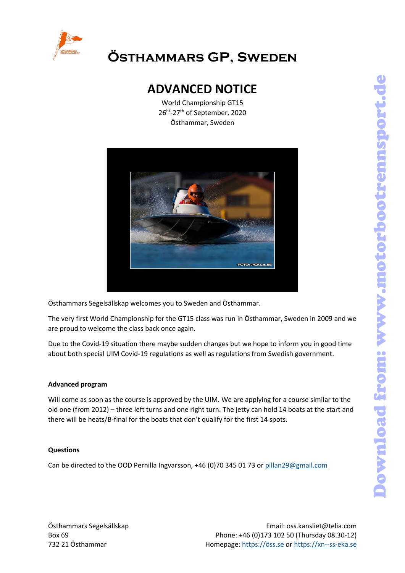

# **Östhammars GP, Sweden**

### **ADVANCED NOTICE**

World Championship GT15 26ht -27th of September, 2020 Östhammar, Sweden



Östhammars Segelsällskap welcomes you to Sweden and Östhammar.

The very first World Championship for the GT15 class was run in Östhammar, Sweden in 2009 and we are proud to welcome the class back once again.

Due to the Covid-19 situation there maybe sudden changes but we hope to inform you in good time about both special UIM Covid-19 regulations as well as regulations from Swedish government.

#### **Advanced program**

Will come as soon as the course is approved by the UIM. We are applying for a course similar to the old one (from 2012) – three left turns and one right turn. The jetty can hold 14 boats at the start and there will be heats/B-final for the boats that don't qualify for the first 14 spots.

#### **Questions**

Can be directed to the OOD Pernilla Ingvarsson, +46 (0)70 345 01 73 or [pillan29@gmail.com](mailto:pillan29@gmail.com)